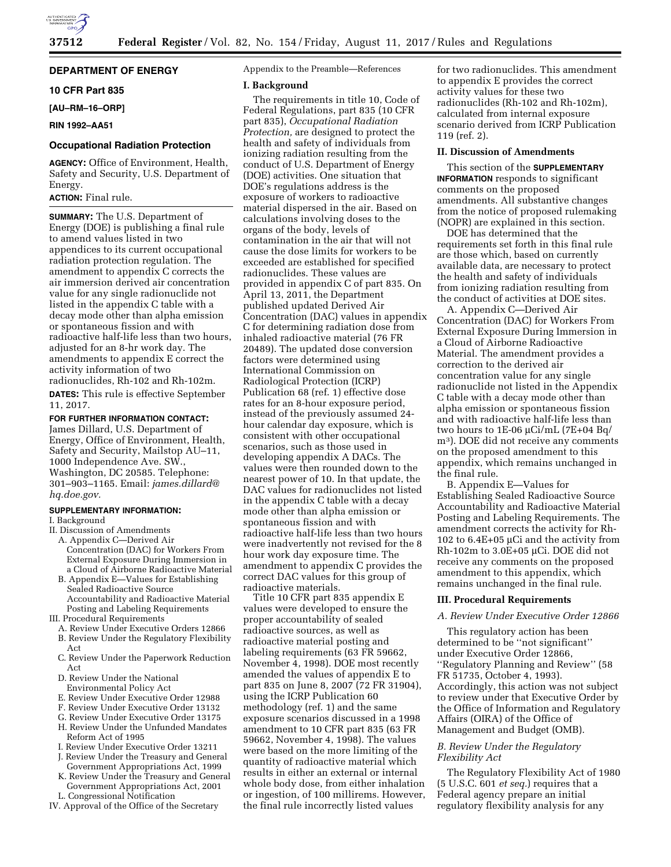

# **DEPARTMENT OF ENERGY**

### **10 CFR Part 835**

**[AU–RM–16–ORP]** 

# **RIN 1992–AA51**

### **Occupational Radiation Protection**

**AGENCY:** Office of Environment, Health, Safety and Security, U.S. Department of Energy.

# **ACTION:** Final rule.

**SUMMARY:** The U.S. Department of Energy (DOE) is publishing a final rule to amend values listed in two appendices to its current occupational radiation protection regulation. The amendment to appendix C corrects the air immersion derived air concentration value for any single radionuclide not listed in the appendix C table with a decay mode other than alpha emission or spontaneous fission and with radioactive half-life less than two hours, adjusted for an 8-hr work day. The amendments to appendix E correct the activity information of two radionuclides, Rh-102 and Rh-102m.

**DATES:** This rule is effective September 11, 2017.

#### **FOR FURTHER INFORMATION CONTACT:**

James Dillard, U.S. Department of Energy, Office of Environment, Health, Safety and Security, Mailstop AU–11, 1000 Independence Ave. SW., Washington, DC 20585. Telephone: 301–903–1165. Email: *[james.dillard@](mailto:james.dillard@hq.doe.gov) [hq.doe.gov.](mailto:james.dillard@hq.doe.gov)* 

# **SUPPLEMENTARY INFORMATION:**

I. Background

- II. Discussion of Amendments A. Appendix C—Derived Air Concentration (DAC) for Workers From External Exposure During Immersion in
	- a Cloud of Airborne Radioactive Material B. Appendix E—Values for Establishing Sealed Radioactive Source Accountability and Radioactive Material Posting and Labeling Requirements
- III. Procedural Requirements
- A. Review Under Executive Orders 12866
- B. Review Under the Regulatory Flexibility Act
- C. Review Under the Paperwork Reduction Act
- D. Review Under the National
- Environmental Policy Act E. Review Under Executive Order 12988
- 
- F. Review Under Executive Order 13132
- G. Review Under Executive Order 13175 H. Review Under the Unfunded Mandates Reform Act of 1995
- I. Review Under Executive Order 13211
- J. Review Under the Treasury and General
- Government Appropriations Act, 1999
- K. Review Under the Treasury and General Government Appropriations Act, 2001 L. Congressional Notification
- 
- IV. Approval of the Office of the Secretary

Appendix to the Preamble—References

#### **I. Background**

The requirements in title 10, Code of Federal Regulations, part 835 (10 CFR part 835), *Occupational Radiation Protection,* are designed to protect the health and safety of individuals from ionizing radiation resulting from the conduct of U.S. Department of Energy (DOE) activities. One situation that DOE's regulations address is the exposure of workers to radioactive material dispersed in the air. Based on calculations involving doses to the organs of the body, levels of contamination in the air that will not cause the dose limits for workers to be exceeded are established for specified radionuclides. These values are provided in appendix C of part 835. On April 13, 2011, the Department published updated Derived Air Concentration (DAC) values in appendix C for determining radiation dose from inhaled radioactive material (76 FR 20489). The updated dose conversion factors were determined using International Commission on Radiological Protection (ICRP) Publication 68 (ref. 1) effective dose rates for an 8-hour exposure period, instead of the previously assumed 24 hour calendar day exposure, which is consistent with other occupational scenarios, such as those used in developing appendix A DACs. The values were then rounded down to the nearest power of 10. In that update, the DAC values for radionuclides not listed in the appendix C table with a decay mode other than alpha emission or spontaneous fission and with radioactive half-life less than two hours were inadvertently not revised for the 8 hour work day exposure time. The amendment to appendix C provides the correct DAC values for this group of radioactive materials.

Title 10 CFR part 835 appendix E values were developed to ensure the proper accountability of sealed radioactive sources, as well as radioactive material posting and labeling requirements (63 FR 59662, November 4, 1998). DOE most recently amended the values of appendix E to part 835 on June 8, 2007 (72 FR 31904), using the ICRP Publication 60 methodology (ref. 1) and the same exposure scenarios discussed in a 1998 amendment to 10 CFR part 835 (63 FR 59662, November 4, 1998). The values were based on the more limiting of the quantity of radioactive material which results in either an external or internal whole body dose, from either inhalation or ingestion, of 100 millirems. However, the final rule incorrectly listed values

for two radionuclides. This amendment to appendix E provides the correct activity values for these two radionuclides (Rh-102 and Rh-102m), calculated from internal exposure scenario derived from ICRP Publication 119 (ref. 2).

### **II. Discussion of Amendments**

This section of the **SUPPLEMENTARY INFORMATION** responds to significant comments on the proposed amendments. All substantive changes from the notice of proposed rulemaking (NOPR) are explained in this section.

DOE has determined that the requirements set forth in this final rule are those which, based on currently available data, are necessary to protect the health and safety of individuals from ionizing radiation resulting from the conduct of activities at DOE sites.

A. Appendix C—Derived Air Concentration (DAC) for Workers From External Exposure During Immersion in a Cloud of Airborne Radioactive Material. The amendment provides a correction to the derived air concentration value for any single radionuclide not listed in the Appendix C table with a decay mode other than alpha emission or spontaneous fission and with radioactive half-life less than two hours to  $1E-06 \mu\text{Ci/mL}$  (7E+04 Bq/ m3). DOE did not receive any comments on the proposed amendment to this appendix, which remains unchanged in the final rule.

B. Appendix E—Values for Establishing Sealed Radioactive Source Accountability and Radioactive Material Posting and Labeling Requirements. The amendment corrects the activity for Rh-102 to  $6.4E+05 \mu C$ i and the activity from Rh-102m to  $3.0E+05 \mu$ Ci. DOE did not receive any comments on the proposed amendment to this appendix, which remains unchanged in the final rule.

#### **III. Procedural Requirements**

#### *A. Review Under Executive Order 12866*

This regulatory action has been determined to be ''not significant'' under Executive Order 12866, ''Regulatory Planning and Review'' (58 FR 51735, October 4, 1993). Accordingly, this action was not subject to review under that Executive Order by the Office of Information and Regulatory Affairs (OIRA) of the Office of Management and Budget (OMB).

# *B. Review Under the Regulatory Flexibility Act*

The Regulatory Flexibility Act of 1980 (5 U.S.C. 601 *et seq.*) requires that a Federal agency prepare an initial regulatory flexibility analysis for any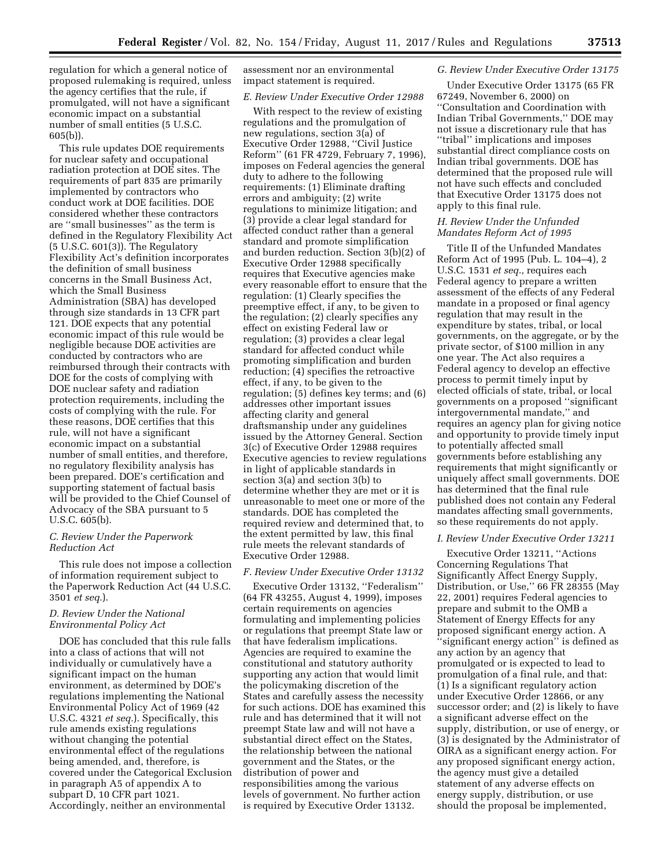regulation for which a general notice of proposed rulemaking is required, unless the agency certifies that the rule, if promulgated, will not have a significant economic impact on a substantial number of small entities (5 U.S.C. 605(b)).

This rule updates DOE requirements for nuclear safety and occupational radiation protection at DOE sites. The requirements of part 835 are primarily implemented by contractors who conduct work at DOE facilities. DOE considered whether these contractors are ''small businesses'' as the term is defined in the Regulatory Flexibility Act (5 U.S.C. 601(3)). The Regulatory Flexibility Act's definition incorporates the definition of small business concerns in the Small Business Act, which the Small Business Administration (SBA) has developed through size standards in 13 CFR part 121. DOE expects that any potential economic impact of this rule would be negligible because DOE activities are conducted by contractors who are reimbursed through their contracts with DOE for the costs of complying with DOE nuclear safety and radiation protection requirements, including the costs of complying with the rule. For these reasons, DOE certifies that this rule, will not have a significant economic impact on a substantial number of small entities, and therefore, no regulatory flexibility analysis has been prepared. DOE's certification and supporting statement of factual basis will be provided to the Chief Counsel of Advocacy of the SBA pursuant to 5 U.S.C. 605(b).

#### *C. Review Under the Paperwork Reduction Act*

This rule does not impose a collection of information requirement subject to the Paperwork Reduction Act (44 U.S.C. 3501 *et seq.*).

### *D. Review Under the National Environmental Policy Act*

DOE has concluded that this rule falls into a class of actions that will not individually or cumulatively have a significant impact on the human environment, as determined by DOE's regulations implementing the National Environmental Policy Act of 1969 (42 U.S.C. 4321 *et seq.*). Specifically, this rule amends existing regulations without changing the potential environmental effect of the regulations being amended, and, therefore, is covered under the Categorical Exclusion in paragraph A5 of appendix A to subpart D, 10 CFR part 1021. Accordingly, neither an environmental

assessment nor an environmental impact statement is required.

#### *E. Review Under Executive Order 12988*

With respect to the review of existing regulations and the promulgation of new regulations, section 3(a) of Executive Order 12988, ''Civil Justice Reform'' (61 FR 4729, February 7, 1996), imposes on Federal agencies the general duty to adhere to the following requirements: (1) Eliminate drafting errors and ambiguity; (2) write regulations to minimize litigation; and (3) provide a clear legal standard for affected conduct rather than a general standard and promote simplification and burden reduction. Section 3(b)(2) of Executive Order 12988 specifically requires that Executive agencies make every reasonable effort to ensure that the regulation: (1) Clearly specifies the preemptive effect, if any, to be given to the regulation; (2) clearly specifies any effect on existing Federal law or regulation; (3) provides a clear legal standard for affected conduct while promoting simplification and burden reduction; (4) specifies the retroactive effect, if any, to be given to the regulation; (5) defines key terms; and (6) addresses other important issues affecting clarity and general draftsmanship under any guidelines issued by the Attorney General. Section 3(c) of Executive Order 12988 requires Executive agencies to review regulations in light of applicable standards in section 3(a) and section 3(b) to determine whether they are met or it is unreasonable to meet one or more of the standards. DOE has completed the required review and determined that, to the extent permitted by law, this final rule meets the relevant standards of Executive Order 12988.

### *F. Review Under Executive Order 13132*

Executive Order 13132, ''Federalism'' (64 FR 43255, August 4, 1999), imposes certain requirements on agencies formulating and implementing policies or regulations that preempt State law or that have federalism implications. Agencies are required to examine the constitutional and statutory authority supporting any action that would limit the policymaking discretion of the States and carefully assess the necessity for such actions. DOE has examined this rule and has determined that it will not preempt State law and will not have a substantial direct effect on the States, the relationship between the national government and the States, or the distribution of power and responsibilities among the various levels of government. No further action is required by Executive Order 13132.

#### *G. Review Under Executive Order 13175*

Under Executive Order 13175 (65 FR 67249, November 6, 2000) on ''Consultation and Coordination with Indian Tribal Governments,'' DOE may not issue a discretionary rule that has ''tribal'' implications and imposes substantial direct compliance costs on Indian tribal governments. DOE has determined that the proposed rule will not have such effects and concluded that Executive Order 13175 does not apply to this final rule.

### *H. Review Under the Unfunded Mandates Reform Act of 1995*

Title II of the Unfunded Mandates Reform Act of 1995 (Pub. L. 104–4), 2 U.S.C. 1531 *et seq.,* requires each Federal agency to prepare a written assessment of the effects of any Federal mandate in a proposed or final agency regulation that may result in the expenditure by states, tribal, or local governments, on the aggregate, or by the private sector, of \$100 million in any one year. The Act also requires a Federal agency to develop an effective process to permit timely input by elected officials of state, tribal, or local governments on a proposed ''significant intergovernmental mandate,'' and requires an agency plan for giving notice and opportunity to provide timely input to potentially affected small governments before establishing any requirements that might significantly or uniquely affect small governments. DOE has determined that the final rule published does not contain any Federal mandates affecting small governments, so these requirements do not apply.

#### *I. Review Under Executive Order 13211*

Executive Order 13211, ''Actions Concerning Regulations That Significantly Affect Energy Supply, Distribution, or Use,'' 66 FR 28355 (May 22, 2001) requires Federal agencies to prepare and submit to the OMB a Statement of Energy Effects for any proposed significant energy action. A ''significant energy action'' is defined as any action by an agency that promulgated or is expected to lead to promulgation of a final rule, and that: (1) Is a significant regulatory action under Executive Order 12866, or any successor order; and (2) is likely to have a significant adverse effect on the supply, distribution, or use of energy, or (3) is designated by the Administrator of OIRA as a significant energy action. For any proposed significant energy action, the agency must give a detailed statement of any adverse effects on energy supply, distribution, or use should the proposal be implemented,